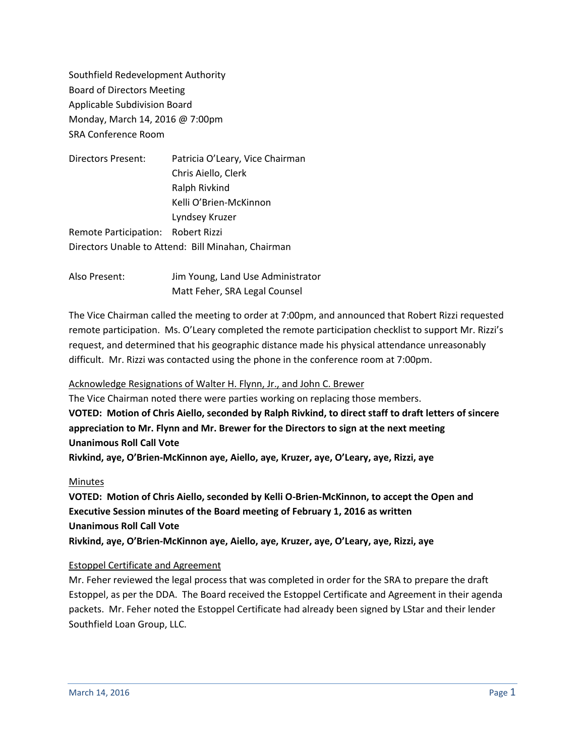Southfield Redevelopment Authority Board of Directors Meeting Applicable Subdivision Board Monday, March 14, 2016 @ 7:00pm SRA Conference Room

| Patricia O'Leary, Vice Chairman                    |  |
|----------------------------------------------------|--|
| Chris Aiello, Clerk                                |  |
| Ralph Rivkind                                      |  |
| Kelli O'Brien-McKinnon                             |  |
| Lyndsey Kruzer                                     |  |
| Remote Participation: Robert Rizzi                 |  |
| Directors Unable to Attend: Bill Minahan, Chairman |  |
|                                                    |  |

Also Present: Jim Young, Land Use Administrator Matt Feher, SRA Legal Counsel

The Vice Chairman called the meeting to order at 7:00pm, and announced that Robert Rizzi requested remote participation. Ms. O'Leary completed the remote participation checklist to support Mr. Rizzi's request, and determined that his geographic distance made his physical attendance unreasonably difficult. Mr. Rizzi was contacted using the phone in the conference room at 7:00pm.

# Acknowledge Resignations of Walter H. Flynn, Jr., and John C. Brewer

The Vice Chairman noted there were parties working on replacing those members. **VOTED: Motion of Chris Aiello, seconded by Ralph Rivkind, to direct staff to draft letters of sincere appreciation to Mr. Flynn and Mr. Brewer for the Directors to sign at the next meeting Unanimous Roll Call Vote Rivkind, aye, O'Brien-McKinnon aye, Aiello, aye, Kruzer, aye, O'Leary, aye, Rizzi, aye**

# Minutes

**VOTED: Motion of Chris Aiello, seconded by Kelli O-Brien-McKinnon, to accept the Open and Executive Session minutes of the Board meeting of February 1, 2016 as written Unanimous Roll Call Vote Rivkind, aye, O'Brien-McKinnon aye, Aiello, aye, Kruzer, aye, O'Leary, aye, Rizzi, aye**

# Estoppel Certificate and Agreement

Mr. Feher reviewed the legal process that was completed in order for the SRA to prepare the draft Estoppel, as per the DDA. The Board received the Estoppel Certificate and Agreement in their agenda packets. Mr. Feher noted the Estoppel Certificate had already been signed by LStar and their lender Southfield Loan Group, LLC.